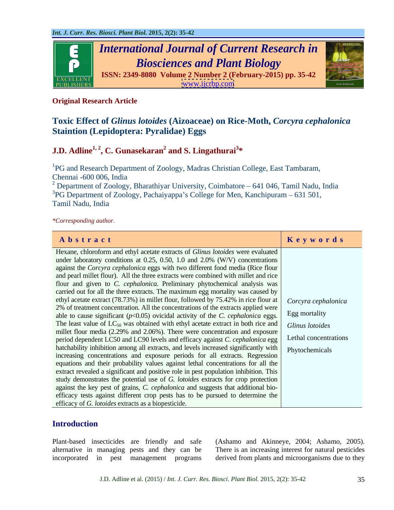

# **Original Research Article**

# **Toxic Effect of** *Glinus lotoides* **(Aizoaceae) on Rice-Moth,** *Corcyra cephalonica*  **Staintion (Lepidoptera: Pyralidae) Eggs**

### **J.D.** Adline<sup>1, 2</sup>, C. Gunasekaran<sup>2</sup> and S. Lingathurai<sup>3\*</sup>  **and S. Lingathurai<sup>3</sup> \***

<sup>1</sup>PG and Research Department of Zoology, Madras Christian College, East Tambaram, Chennai -600 006, India

<sup>2</sup> Department of Zoology, Bharathiyar University, Coimbatore – 641 046, Tamil Nadu, India <sup>3</sup>PG Department of Zoology, Pachaiyappa's College for Men, Kanchipuram  $-631501$ , Tamil Nadu, India

*\*Corresponding author.*

| Abstract                                                                                                            | Keywords              |
|---------------------------------------------------------------------------------------------------------------------|-----------------------|
| Hexane, chloroform and ethyl acetate extracts of Glinus lotoides were evaluated                                     |                       |
| under laboratory conditions at 0.25, 0.50, 1.0 and 2.0% (W/V) concentrations                                        |                       |
| against the Corcyra cephalonica eggs with two different food media (Rice flour                                      |                       |
| and pearl millet flour). All the three extracts were combined with millet and rice                                  |                       |
| flour and given to C. cephalonica. Preliminary phytochemical analysis was                                           |                       |
| carried out for all the three extracts. The maximum egg mortality was caused by                                     |                       |
| ethyl acetate extract (78.73%) in millet flour, followed by 75.42% in rice flour at   Corcyra cephalonica           |                       |
| 2% of treatment concentration. All the concentrations of the extracts applied were                                  | Egg mortality         |
| able to cause significant $(p<0.05)$ ovicidal activity of the C. cephalonica eggs.                                  |                       |
| The least value of $LC_{50}$ was obtained with ethyl acetate extract in both rice and $\int$ <i>Glinus lotoides</i> |                       |
| millet flour media (2.29% and 2.06%). There were concentration and exposure                                         | Lethal concentrations |
| period dependent LC50 and LC90 levels and efficacy against C. cephalonica egg                                       |                       |
| hatchability inhibition among all extracts, and levels increased significantly with   Phytochemicals                |                       |
| increasing concentrations and exposure periods for all extracts. Regression                                         |                       |
| equations and their probability values against lethal concentrations for all the                                    |                       |
| extract revealed a significant and positive role in pest population inhibition. This                                |                       |
| study demonstrates the potential use of G. lotoides extracts for crop protection                                    |                       |
| against the key pest of grains, <i>C. cephalonica</i> and suggests that additional bio-                             |                       |
| efficacy tests against different crop pests has to be pursued to determine the                                      |                       |
| efficacy of G. lotoides extracts as a biopesticide.                                                                 |                       |

# **Introduction**

Plant-based insecticides are friendly and safe (Ashamo and Akinneye, 2004; Ashamo, 2005). alternative in managing pests and they can be There is an increasing interest for natural pesticides incorporated in pest management programs derived from plants and microorganisms due to they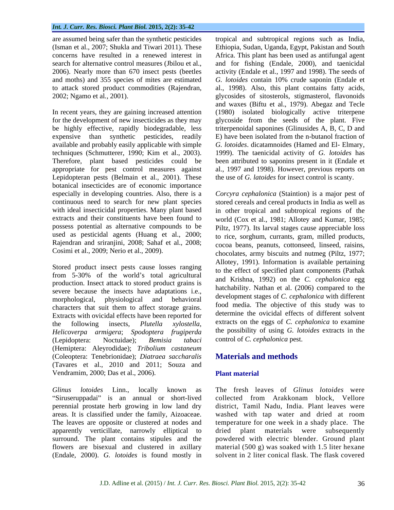expensive than synthetic pesticides, readily available and probably easily applicable with simple Lepidopteran pests (Belmain et al., 2001). These botanical insecticides are of economic importance used as pesticidal agents (Huang et al., 2000; Rajendran and sriranjini, 2008; Sahaf et al., 2008; Cosimi et al., 2009; Nerio et al., 2009).

Stored product insect pests cause losses ranging from 5-30% of the world's total agricultural production. Insect attack to stored product grains is severe because the insects have adaptations i.e., characters that suit them to affect storage grains. Extracts with ovicidal effects have been reported for *Helicoverpa armigera*; *Spodoptera frugiperda* (Lepidoptera: Noctuidae); *Bemisia tabaci* (Hemiptera: Aleyrodidae); *Tribolium castaneum* (Coleoptera: Tenebrionidae); *Diatraea saccharalis* (Tavares et al., 2010 and 2011; Souza and Vendramim, 2000; Das et al., 2006). Plant material

"Siruseruppadai" is an annual or short-lived perennial prostate herb growing in low land dry district, Tamil Nadu, India. Plant leaves were areas. It is classified under the family, Aizoaceae. washed with tap water and dried at room The leaves are opposite or clustered at nodes and temperature for one week in a shady place. The apparently verticillate, narrowly elliptical to<br>surround. The plant contains stipules and the surround. The plant contains stipules and the powdered with electric blender. Ground plant flowers are bisexual and clustered in axillary (Endale, 2000). *G. lotoides* is found mostly in

are assumed being safer than the synthetic pesticides tropical and subtropical regions such as India, (Isman et al., 2007; Shukla and Tiwari 2011). These Ethiopia, Sudan, Uganda, Egypt, Pakistan and South concerns have resulted in a renewed interest in Africa. This plant has been used as antifungal agent search for alternative control measures (Jbilou et al., and for fishing (Endale, 2000), and taenicidal 2006). Nearly more than 670 insect pests (beetles activity (Endale et al., 1997 and 1998). The seeds of and moths) and 355 species of mites are estimated *G. lotoides* contain 10% crude saponin (Endale et to attack stored product commodities (Rajendran, al., 1998). Also, this plant contains fatty acids, 2002; Ngamo et al*.,* 2001). glycosides of sitosterols, stigmasterol, flavonoids In recent years, they are gaining increased attention (1980) isolated biologically active triterpene for the development of new insecticides as they may glycoside from the seeds of the plant. Five be highly effective, rapidly biodegradable, less triterpenoidal saponines (Glinusides A, B, C, D and techniques (Schmutterer, 1990; Kim et al., 2003). 1999). The taenicidal activity of *G. lotoides* has Therefore, plant based pesticides could be been attributed to saponins present in it (Endale et appropriate for pest control measures against al., 1997 and 1998). However, previous reports on and for fishing (Endale, 2000), and taenicidal activity (Endale et al., 1997 and 1998). The seeds of and waxes (Biftu et al., 1979). Abegaz and Tecle E) have been isolated from the n-butanol fraction of *G. lotoides*. dicatamnoides (Hamed and El- Elmary, the use of *G. latoides* for insect control is scanty.

especially in developing countries. Also, there is a Corcyra cephalonica (Staintion) is a major pest of continuous need to search for new plant species stored cereals and cereal products in India as well as with ideal insecticidal properties. Many plant based in other tropical and subtropical regions of the extracts and their constituents have been found to world (Cox et al., 1981; Allotey and Kumar, 1985; possess potential as alternative compounds to be Piltz, 1977). Its larval stages cause appreciable loss morphological, physiological and behavioral development stages of c. *cephalonica* with different the following insects, *Plutella xylostella*, extracts on the eggs of *C. cephalonica* to examine to rice, sorghum, currants, gram, milled products, cocoa beans, peanuts, cottonseed, linseed, raisins, chocolates, army biscuits and nutmeg (Piltz, 1977; Allotey, 1991). Information is available pertaining to the effect of specified plant components (Pathak and Krishna, 1992) on the *C. cephalonica* egg hatchability. Nathan et al. (2006) compared to the development stages of *C. cephalonica* with different food media. The objective of this study was to determine the ovicidal effects of different solvent the possibility of using *G. lotoides* extracts in the control of *C. cephalonica* pest.

# **Materials and methods**

# **Plant material**

*Glinus lotoides* Linn., locally known as The fresh leaves of *Glinus lotoides* were collected from Arakkonam block, Vellore dried plant materials were subsequently material  $(500 \text{ g})$  was soaked with 1.5 liter hexane solvent in 2 liter conical flask. The flask covered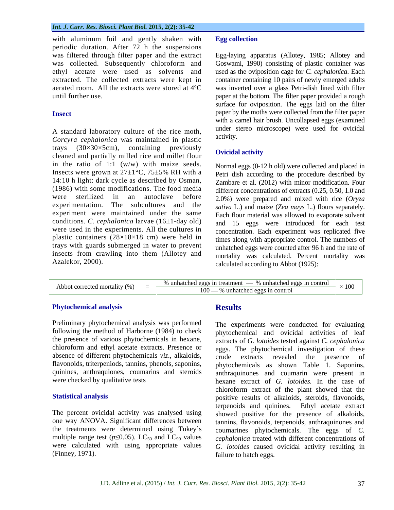with aluminum foil and gently shaken with Egg collection periodic duration. After 72 h the suspensions was filtered through filter paper and the extract Egg-laying apparatus (Allotey, 1985; Allotey and was collected. Subsequently chloroform and Goswami, 1990) consisting of plastic container was ethyl acetate were used as solvents and used as the oviposition cage for *C. cephalonica*. Each extracted. The collected extracts were kept in container containing 10 pairs of newly emerged adults aerated room. All the extracts were stored at 4ºC was inverted over a glass Petri-dish lined with filter until further use. **paper at the bottom.** The filter paper provided a rough

A standard laboratory culture of the rice moth,<br>Caravas sankalarias was maintained in plastic activity. *Corcyra cephalonica* was maintained in plastic trays  $(30\times30\times5cm)$ , containing previously<br>closed and partially milled rise and millet flavor. Ovicidal activity cleaned and partially milled rice and millet flour in the ratio of 1:1 (w/w) with maize seeds. Insects were grown at  $27\pm1\degree C$ ,  $75\pm5\%$  RH with a 14:10 h light: dark cycle as described by Osman, (1986) with some modifications. The food media experiment were maintained under the same conditions. *C. cephalonica* larvae (16±1-day old) were used in the experiments. All the cultures in plastic containers (28×18×18 cm) were held in trays with guards submerged in water to prevent insects from crawling into them (Allotey and with aluminum foil and gently shaken with a percellection<br>was filtered through filter apper and the extract Egg-laying apparatus (Allotey, 1985; Allotey and<br>was filtered from the extract Egg-laying apparatus (Allotey, 1985

**Insect paper by the moths were collected from the filter paper** surface for oviposition. The eggs laid on the filter with a camel hair brush. Uncollapsed eggs (examined under stereo microscope) were used for ovicidal activity.

## **Ovicidal activity**

were sterilized in an autoclave before 2.0%) were prepared and mixed with rice (*Oryza*  experimentation. The subcultures and the *sativa* L.) and maize (*Zea mays* L.) flours separately. Normal eggs (0-12 h old) were collected and placed in Petri dish according to the procedure described by Zambare et al. (2012) with minor modification. Four different concentrations of extracts (0.25, 0.50, 1.0 and Each flour material was allowed to evaporate solvent and 15 eggs were introduced for each test concentration. Each experiment was replicated five times along with appropriate control. The numbers of unhatched eggs were counted after 96 h and the rate of mortality was calculated. Percent mortality was calculated according to Abbot (1925):

### **Phytochemical analysis**

Preliminary phytochemical analysis was performed the presence of various phytochemicals in hexane, chloroform and ethyl acetate extracts. Presence or absence of different phytochemicals *viz*., alkaloids, crude extracts revealed the presence of

the treatments were determined using Tukey's

# **Results**

following the method of Harborne (1984) to check phytochemical and ovicidal activities of leaf flavonoids, triterpeniods, tannins, phenols, saponins, phytochemicals as shown Table 1. Saponins, quinines, anthraquiones, coumarins and steroids anthraquinones and coumarin were present in were checked by qualitative tests hexane extract of *G. lotoides.* In the case of Statistical analysis positive results of alkaloids, steroids, flavonoids, The percent ovicidal activity was analysed using showed positive for the presence of alkaloids, one way ANOVA. Significant differences between tannins, flavonoids, terpenoids, anthraquinones and multiple range test ( $p \le 0.05$ ). LC<sub>50</sub> and LC<sub>90</sub> values *cephalonica* treated with different concentrations of were calculated with using appropriate values *G. lotoides* caused ovicidal activity resulting in (Finney, 1971). failure to hatch eggs. The experiments were conducted for evaluating extracts of *G. lotoides* tested against *C. cephalonica* eggs. The phytochemical investigation of these crude extracts revealed the presence of chloroform extract of the plant showed that the terpenoids and quinines. Ethyl acetate extract coumarines phytochemicals. The eggs of *C.*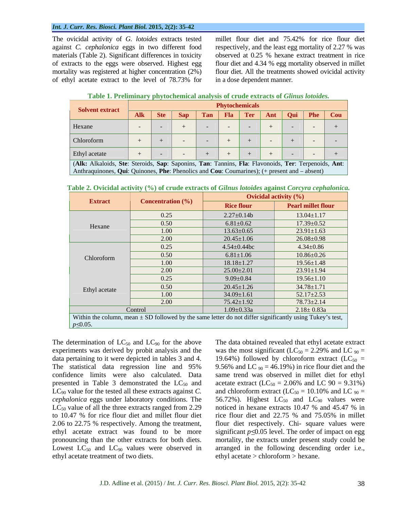### *Int. J. Curr. Res. Biosci. Plant Biol.* **2015, 2(2): 35-42**

The ovicidal activity of *G. lotoides* extracts tested millet flour diet and 75.42% for rice flour diet materials (Table 2). Significant differences in toxicity

against *C. cephalonica* eggs in two different food respectively, and the least egg mortality of 2.27 % was of extracts to the eggs were observed. Highest egg flour diet and 4.34 % egg mortality observed in millet mortality was registered at higher concentration (2%) flour diet. All the treatments showed ovicidal activity of ethyl acetate extract to the level of 78.73% for observed at 0.25 % hexane extract treatment in rice in a dose dependent manner.

| <b>Table</b><br><b>v</b> phytochemical analysis of crude extracts of <i>Glinus</i><br><i>lotoides.</i><br>, eliminary |  |
|-----------------------------------------------------------------------------------------------------------------------|--|
|-----------------------------------------------------------------------------------------------------------------------|--|

| Solvent extract                                                                                     |                         |  |  | <b>Phytochemicals</b>                   |  |  |
|-----------------------------------------------------------------------------------------------------|-------------------------|--|--|-----------------------------------------|--|--|
|                                                                                                     | $\parallel$ Alk Ste Sap |  |  | Tan   Fla   Ter   Ant   Qui   Phe   Cou |  |  |
| Hexane                                                                                              |                         |  |  |                                         |  |  |
| Chloroform                                                                                          |                         |  |  |                                         |  |  |
| Ethyl acetate                                                                                       |                         |  |  |                                         |  |  |
| (Alk: Alkaloids, Ste: Steroids, Sap: Saponins, Tan: Tannins, Fla: Flavonoids, Ter: Terpenoids, Ant: |                         |  |  |                                         |  |  |

Anthraquinones, **Qui**: Quinones, **Phe**: Phenolics and **Cou**: Coumarines); (+ present and  $-$  absent)

|                 | <u>rable 2</u> . O richar activity (70) or crude extracts of Olimis holotaes against core fra explanomea.    |                    |                                 |  |  |  |
|-----------------|--------------------------------------------------------------------------------------------------------------|--------------------|---------------------------------|--|--|--|
|                 |                                                                                                              |                    | <b>Ovicidal activity</b> $(\%)$ |  |  |  |
| <b>Extract</b>  | <b>Concentration</b> (%)                                                                                     | <b>Rice flour</b>  | <b>Pearl millet flour</b>       |  |  |  |
|                 | 0.25                                                                                                         | $2.27 \pm 0.14b$   | $13.04 \pm 1.17$                |  |  |  |
| Hexane          | 0.50                                                                                                         | $6.81 \pm 0.62$    | $17.39 \pm 0.52$                |  |  |  |
|                 | 1.00                                                                                                         | $13.63 \pm 0.65$   | $23.91 \pm 1.63$                |  |  |  |
|                 | 2.00                                                                                                         | $20.45 \pm 1.06$   | $26.08 \pm 0.98$                |  |  |  |
|                 | 0.25                                                                                                         | $4.54 \pm 0.44$ bc | $4.34 \pm 0.86$                 |  |  |  |
| Chloroform      | 0.50                                                                                                         | $6.81 \pm 1.06$    | $10.86 \pm 0.26$                |  |  |  |
|                 | 1.00                                                                                                         | $18.18 \pm 1.27$   | $19.56 \pm 1.48$                |  |  |  |
|                 | 2.00                                                                                                         | $25.00 \pm 2.01$   | $23.91 \pm 1.94$                |  |  |  |
|                 | 0.25                                                                                                         | $9.09 \pm 0.84$    | $19.56 \pm 1.10$                |  |  |  |
|                 | 0.50                                                                                                         | $20.45 \pm 1.26$   | $34.78 \pm 1.71$                |  |  |  |
| Ethyl acetate   | 1.00                                                                                                         | $34.09 \pm 1.61$   | $52.17 \pm 2.53$                |  |  |  |
|                 | 2.00                                                                                                         | $75.42 \pm 1.92$   | $78.73 \pm 2.14$                |  |  |  |
|                 | Control                                                                                                      | $1.09 \pm 0.33a$   | $2.18 \pm 0.83a$                |  |  |  |
|                 |                                                                                                              |                    |                                 |  |  |  |
| $p \leq 0.05$ . | Within the column, mean $\pm$ SD followed by the same letter do not differ significantly using Tukey's test, |                    |                                 |  |  |  |

**Table 2. Ovicidal activity (%) of crude extracts of** *Gilnus lotoides* **against** *Corcyra cephalonica.*

The determination of  $LC_{50}$  and  $LC_{90}$  for the above to 10.47 % for rice flour diet and millet flour diet Lowest  $LC_{50}$  and  $LC_{90}$  values were observed in ethyl acetate treatment of two diets.

experiments was derived by probit analysis and the was the most significant  $(LC_{50} = 2.29\%$  and LC  $_{90} =$ data pertaining to it were depicted in tables 3 and 4. 19.64%) followed by chloroform extract (LC<sub>50</sub> = The statistical data regression line and 95% 9.56% and LC  $_{90} = 46.19$ %) in rice flour diet and the confidence limits were also calculated. Data same trend was observed in millet diet for ethyl presented in Table 3 demonstrated the  $LC_{50}$  and acetate extract ( $LC_{50} = 2.06\%$  and LC 90 = 9.31%)  $LC_{90}$  value for the tested all these extracts against *C*. and chloroform extract ( $LC_{50} = 10.10\%$  and LC  $_{90} =$  $cephalonica$  eggs under laboratory conditions. The  $56.72\%$ ). Highest  $LC_{50}$  and  $LC_{90}$  values were  $LC_{50}$  value of all the three extracts ranged from 2.29 noticed in hexane extracts 10.47 % and 45.47 % in 2.06 to 22.75 % respectively. Among the treatment, flour diet respectively. Chi- square values were ethyl acetate extract was found to be more significant  $p \le 0.05$  level. The order of impact on egg pronouncing than the other extracts for both diets. mortality, the extracts under present study could be The data obtained revealed that ethyl acetate extract rice flour diet and 22.75 % and 75.05% in millet arranged in the following descending order i.e., ethyl acetate > chloroform > hexane.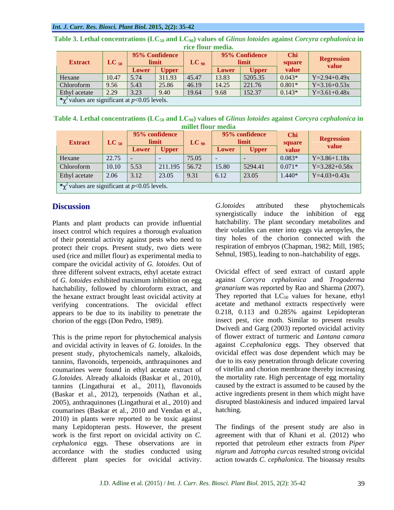|                                                                           | <b>THE HOUL HIGHING</b> |                    |                |           |               |                |               |                   |
|---------------------------------------------------------------------------|-------------------------|--------------------|----------------|-----------|---------------|----------------|---------------|-------------------|
| <b>Extract</b>                                                            | $LC_{50}$               |                    | 95% Confidence | $LC_{90}$ |               | 95% Confidence | Chi<br>square | <b>Regression</b> |
|                                                                           |                         |                    | Lower   Upper  |           | <b>Lower</b>  | <b>Upper</b>   | value         | value             |
| Hexane                                                                    | 10.47                   | $\vert 5.74 \vert$ | 311.93         | 45.47     | $\vert$ 13.83 | 5205.35        | $0.043*$      | $Y=2.94+0.49x$    |
| Chloroform                                                                | 9.56                    | 5.43               | 25.86          | 46.19     | 14.25         | 221.76         | $0.801*$      | $Y=3.16+0.53x$    |
| Ethyl acetate 2.29 3.23                                                   |                         |                    | 9.40           | 19.64     | 9.68          | 152.37         | $0.143*$      | $Y=3.61+0.48x$    |
| $\frac{1}{2}$ * $\chi^2$ values are significant at <i>p</i> <0.05 levels. |                         |                    |                |           |               |                |               |                   |

**Table 3. Lethal concentrations (LC<sub>50</sub> and LC<sub>90</sub>) values of** *Glinus lotoides* **against** *Corcyra cephalonica* **in rice flour media rice flour media.**

Table 4. Lethal concentrations (LC<sub>50</sub> and LC<sub>90</sub>) values of *Glinus lotoides* against *Corcyra cephalonica* in **millet flour media**

| <b>Extract</b><br>$LC_{50}$                                               |               |      | 95% confidence | $LC_{90}$    | 95% confidence |         | <b>Chi</b><br>square | <b>Regression</b> |
|---------------------------------------------------------------------------|---------------|------|----------------|--------------|----------------|---------|----------------------|-------------------|
|                                                                           | Lower   Upper |      |                | <b>Lower</b> | <b>Upper</b>   |         | value                |                   |
| Hexane                                                                    | 22.75         |      |                | 75.05        |                |         | $0.083*$             | $Y=3.86+1.18x$    |
| Chloroform                                                                | 10.10   5.53  |      | 211.195        | 56.72        | 15.80          | 5294.41 | $0.071*$             | $Y=3.282+0.58x$   |
| Ethyl acetate                                                             | $\vert$ 2.06  | 3.12 | 23.05          | 9.3          | 6.12           | 23.05   | $1.440*$             | $Y=4.03+0.43x$    |
| $\frac{1}{2}$ * $\chi^2$ values are significant at <i>p</i> <0.05 levels. |               |      |                |              |                |         |                      |                   |

Plants and plant products can provide influential insect control which requires a thorough evaluation of their potential activity against pests who need to protect their crops. Present study, two diets were used (rice and millet flour) as experimental media to compare the ovicidal activity of *G. lotoides*. Out of three different solvent extracts, ethyl acetate extract hatchability, followed by chloroform extract, and the hexane extract brought least ovicidal activity at verifying concentrations. The ovicidal effect appears to be due to its inability to penetrate the

This is the prime report for phytochemical analysis and ovicidal activity in leaves of *G. lotoides*. In the present study, phytochemicals namely, alkaloids, tannins, flavonoids, terpenoids, anthraquinones and coumarines were found in ethyl acetate extract of *G.lotoides.* Already alkaloids (Baskar et al., 2010), tannins (Lingathurai et al., 2011), flavonoids (Baskar et al., 2012), terpenoids (Nathan et al., 2005), anthraquinones (Lingathurai et al., 2010) and coumarines (Baskar et al., 2010 and Vendan et al., 2010) in plants were reported to be toxic against

**Discussion** G.lotoides attributed these phytochemicals synergistically induce the inhibition of egg hatchability. The plant secondary metabolites and their volatiles can enter into eggs via aeropyles, the tiny holes of the chorion connected with the respiration of embryos (Chapman, 1982; Mill, 1985; Sehnul, 1985), leading to non-hatchability of eggs.

of *G. lotoides* exhibited maximum inhibition on egg against *Corcyra cephalonica* and *Trogoderma*  chorion of the eggs (Don Pedro, 1989). insect pest, rice moth. Similar to present results **Execusion Galactic Controlling Controlling** (*Glotoides* attributed these phytochemicals<br>
Flanck and plant products can provide influential that behability. The plant scondary metabolites and<br>
insect controlling the prese Ovicidal effect of seed extract of custard apple *granarium* was reported by Rao and Sharma (2007). They reported that  $LC_{50}$  values for hexane, ethyl acetate and methanol extracts respectively were 0.218, 0.113 and 0.285% against Lepidopteran Dwivedi and Garg (2003) reported ovicidal activity of flower extract of turmeric and *Lantana camara*  against *C.cephalonica* eggs. They observed that ovicidal effect was dose dependent which may be due to its easy penetration through delicate covering of vitellin and chorion membrane thereby increasing the mortality rate. High percentage of egg mortality caused by the extract is assumed to be caused by the active ingredients present in them which might have disrupted blastokinesis and induced impaired larval hatching.

many Lepidopteran pests. However, the present The findings of the present study are also in work is the first report on ovicidal activity on *C*. agreement with that of Khani et al. (2012) who *cephalonica* eggs. These observations are in reported that petroleum ether extracts from *Piper* accordance with the studies conducted using *nigrum* and *Jatropha curcas* resulted strong ovicidal action towards *C. cephalonica*. The bioassay results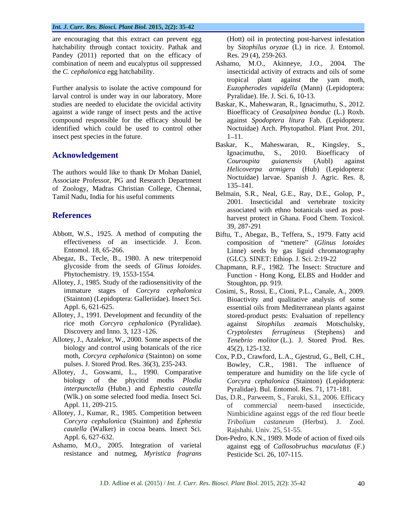are encouraging that this extract can prevent egg hatchability through contact toxicity. Pathak and Pandey (2011) reported that on the efficacy of

Further analysis to isolate the active compound for larval control is under way in our laboratory. More studies are needed to elucidate the ovicidal activity Baskar, K., Maheswaran, R., Ignacimuthu,S., 2012. against a wide range of insect pests and the active Bioefficacy of *Ceasalpinea bonduc* (L.) Roxb. compound responsible for the efficacy should be identified which could be used to control other insect pest species in the future.  $1-11$ .

The authors would like to thank Dr Mohan Daniel, Associate Professor, PG and Research Department Noctural Research 135–141. of Zoology, Madras Christian College, Chennai, Tamil Nadu, India for his useful comments

- Abbott, W.S., 1925. A method of computing the Biftu, T., Abegaz, B., Teffera, S., 1979. Fatty acid
- Abegaz, B., Tecle, B., 1980. A new triterpenoid
- Allotey, J., 1985. Study of the radiosensitivity of the<br>immature stages of *Corcyra cephalonica*
- Allotey, J., 1991. Development and fecundity of the
- Allotey, J., Azalekor, W., 2000. Some aspects of the biology and control using botanicals of the rice  $45(2)$ , 125-132.
- 
- *cautella* (Walker) in cocoa beans. Insect Sci.
- resistance and nutmeg, *Myristica fragrans*

(Hott) oil in protecting post-harvest infestation by *Sitophilus oryzae* (L) in rice. J. Entomol. Res. 29 (4), 259-263.

- combination of neem and eucalyptus oil suppressed Ashamo, M.O., Akinneye, J.O., 2004. The the *C. cephalonica* egg hatchability. insecticidal activity of extracts and oils of some tropical plant against the yam moth, *Euzopherodes vapidella* (Mann) (Lepidoptera: Pyralidae). Ife. J. Sci. 6, 10-13.
	- against *Spodoptera litura* Fab. (Lepidoptera: Noctuidae) Arch. Phytopathol. Plant Prot. 201, **1–11.** The contract of the contract of the contract of the contract of the contract of the contract of the contract of the contract of the contract of the contract of the contract of the contract of the contract of the co
- **Acknowledgement** Ignacimuthu, S., 2010. Bioefficacy of Couroupita guianensis (Aubl) against Baskar, K., Maheswaran, R., Kingsley, S., Ignacimuthu, S., 2010. Bioefficacy of *Couroupita guianensis* (Aubl) against *Helicoverpa armigera* (Hub) (Lepidoptera: Noctuidae) larvae. Spanish J. Agric. Res. 8, 135–141.
- **References** and the associated with earlier boundary associated with earlier boundary associated with earlier boundary  $\frac{1}{2}$ Belmain, S.R., Neal, G.E., Ray, D.E., Golop, P., 2001. Insecticidal and vertebrate toxicity associated with ethno botanicals used as post- 39, 287-291
	- effectiveness of an insecticide. J. Econ. composition of "mettere" (*Glinus lotoides* Entomol. 18, 65-266. Linne) seeds by gas liguid chromatography (GLC). SINET: Ethiop. J. Sci. 2:19-22
	- glycoside from the seeds of *Glinus lotoides*. Chapmann, R.F., 1982. The Insect: Structure and Function Hong Kong, ELBS and Hodder and Chapmann, R.F., 1982. The Insect: Structure and Function *-* Hong Kong, ELBS and Hodder and Stoughton, pp. 919.
	- immature stages of *Corcyra cephalonica* Cosimi, S., Rossi, E., Cioni, P.L., Canale, A., 2009. (Stainton) (Lepidoptera: Galleriidae). Insect Sci. Bioactivity and qualitative analysis of some Appl. 6, 621-625. essential oils from Mediterranean plants against rice moth *Corcyra cephalonica* (Pyralidae). Discovery and Inno. 3, 123 -126. *Cryptolestes ferrugineus* (Stephens) and stored-product pests: Evaluation of repellency against *Sitophilus zeamais* Motschulsky, *Tenebrio molitor* (L.). J. Stored Prod. Res. 45(2), 125-132.
- moth, *Corcyra cephalonica* (Stainton) on some Cox, P.D., Crawford, L.A., Gjestrud, G., Bell, C.H., pulses. J. Stored Prod. Res*.* 36(3), 235-243. Bowley, C.R., 1981. The influence of Allotey, J., Goswami, L., 1990. Comparative temperature and humidity on the life cycle of biology of the phycitid moths *Plodia Corcyra cephalonica* (Stainton) (Lepidoptera: *interpunctella* (Hubn.) and *Ephestia cautella* Pyralidae). Bul. Entomol. Res. 71, 171-181.
- (Wlk.) on some selected food media. Insect Sci. Das, D.R., Parweem, S., Faruki, S.I., 2006. Efficacy Appl. 11, 209-215. The commercial example of commercial example insecticide, Allotey, J., Kumar, R., 1985. Competition between Nimbicidine against eggs of the red flour beetle *Corcyra cephalonica* (Stainton) and *Ephestia Tribolium castaneum* (Herbst). J. Zool. of commercial neem-based insecticide, Rajshahi. Univ. 25, 51-55.
- Appl. 6, 627-632. Don-Pedro, K.N., 1989. Mode of action of fixed oils Ashamo, M.O., 2005. Integration of varietal against egg of *Callosobruchus maculatus* (F.) Pesticide Sci. 26, 107-115.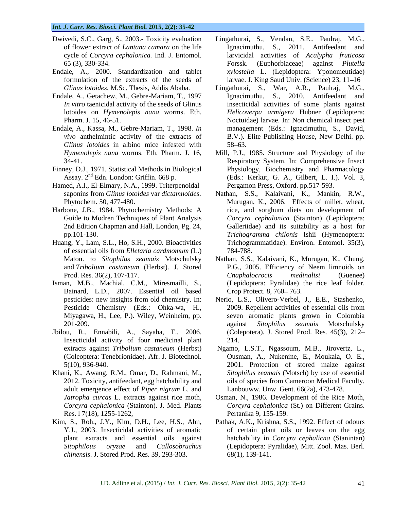- 
- 
- Endale, A., Getachew, M., Gebre-Mariam, T., 1997 lotoides on *Hymenolepis nana* worms. Eth.
- Endale, A., Kassa, M., Gebre-Mariam, T., 1998. *In Glinus lotoides* in albino mice infested with
- Finney, D.J., 1971. Statistical Methods in Biological
- Hamed, A.I., El-Elmary, N.A., 1999. Triterpenoidal
- 
- Huang, Y., Lam, S.L., Ho, S.H., 2000. Bioactivities of essential oils from *Elletaria cardmomum* (L.)
- Isman, M.B., Machial, C.M., Miresmailli, S., Bainard, L.D., 2007. Essential oil based
- Jbilou, R., Ennabili, A., Sayaha, F., 2006. Insecticidal activity of four medicinal plant
- Khani, K., Awang, R.M., Omar, D., Rahmani, M., adult emergence effect of *Piper nigrum* L. and
- Res. 17(18), 1255-1262,<br>Kim, S., Roh., J.Y., Kim, D.H., Lee, H.S., Ahn, *chinensis*. J. Stored Prod. Res. 39, 293-303.
- Dwivedi, S.C., Garg, S., 2003.- Toxicity evaluation Lingathurai, S., Vendan, S.E., Paulraj, M.G., of flower extract of *Lantana camara* on the life Ignacimuthu, S., 2011. Antifeedant and cycle of *Corcyra cephalonica.* Ind. J. Entomol*.* larvicidal activities of *Acalypha fruticosa* 65 (3), 330-334. Forssk. (Euphorbiaceae) against *Plutella* Endale, A., 2000. Standardization and tablet *xylostella* L. (Lepidoptera: Yponomeutidae) formulation of the extracts of the seeds of larvae. J. King Saud Univ. (Science) 23, 11–16
	- *Glinus lotoides*, M.Sc. Thesis, Addis Ababa. Lingathurai, S., War, A.R., Paulraj, M.G., *In vitro* taenicidal activity of the seeds of Glinus insecticidal activities of some plants against Pharm. J. 15, 46-51. Noctuidae) larvae. In: Non chemical insect pest *vivo* anthelmintic activity of the extracts of B.V.). Elite Publishing House, New Delhi. pp. Ignacimuthu, S., 2010. Antifeedant and *Helicoverpa armigera* Hubner (Lepidoptera: management (Eds.: Ignacimuthu, S., David,  $58 - 63$ .
	- *Hymenolepis nana* worms. Eth. Pharm. J. 16, Mill, P.J., 1985. Structure and Physiology of the Respiratory System. In: Comprehensive Insect Assay. 2nd Edn. London: Griffin. 668 p. (Eds.: Kerkut, G. A., Gilbert, L. I.). Vol. 3, Mill, P.J., 1985. Structure and Physiology of the Respiratory System. In: Comprehensive Insect Physiology, Biochemistry and Pharmacology Pergamon Press, Oxford. pp.517-593.
- saponins from *Glinus lotoides* var *dictamnoides*. Nathan, S.S., Kalaivani, K., Mankin, R.W., Phytochem. 50, 477-480. Murugan, K., 2006. Effects of millet, wheat, Harbone, J.B., 1984. Phytochemistry Methods: A rice, and s Guide to Modren Techniques of Plant Analysis *Corcyra cephalonica* (Stainton) (Lepidoptera: 2nd Edition Chapman and Hall, London, Pg. 24, Galleriidae) and its suitability as a host for pp.101-130. *Trichogramma chilonis* Ishii (Hymenoptera: Nathan, S.S., Kalaivani, K., Mankin, R.W., Murugan, K., 2006. Effects of millet, wheat, rice, and sorghum diets on development of Trichogrammatidae). Environ. Entomol. 35(3), 784-788.
	- Maton. to *Sitophilus zeamais* Motschulsky Nathan, S.S., Kalaivani, K., Murugan, K.,Chung, and *Tribolium castaneum* (Herbst). J. Stored P.G., 2005. Efficiency of Neem limnoids on Prod. Res. 36(2), 107-117. Cnaphalocrocis medinalisi (Guenee) *Cnaphalocrocis medinalisi* (Guenee) (Lepidoptera: Pyralidae) the rice leaf folder. Crop Protect. 8, 760–763.
	- pesticides: new insights from old chemistry. In: Nerio, L.S., Olivero-Verbel, J., E.E., Stashenko, Pesticide Chemistry (Eds.: Ohka-wa, H., 2009. Repellent activities of essential oils from<br>Miyagawa, H., Lee, P.). Wiley, Weinheim, pp. seven aromatic plants grown in Colombia 201-209. **201-209. 201-209. 201-209. 201-209. 201-209. 201-209. 201-209. 201-209. 201-209. 201-209. 201-209. 201-209. 202-209. 202-209. 202-209. 202-209. 202-209. 202-209. 202-209. 202** 2009. Repellent activities of essential oils from seven aromatic plants grown in Colombia against *Sitophilus zeamais* Motschulsky (Colepotera). J. Stored Prod. Res*.* 45(3), 212 214.
	- extracts against *Tribolium castaneum* (Herbst) Ngamo, L.S.T., Ngassoum, M.B., Jirovertz, L., (Coleoptera: Tenebrionidae). Afr. J. Biotechnol. Ousman, A., Nukenine, E., Moukala, O. E., 5(10), 936-940. 2001. Protection of stored maize against 2012. Toxicity, antifeedant, egg hatchability and oils of species from Cameroon Medical Faculty*. Sitophilus zeamais* (Motsch) by use of essential Lanbouww. Unw. Gent. 66(2a), 473-478.
	- *Jatropha curcas* L. extracts against rice moth, Osman, N., 1986. Development of the Rice Moth, *Corcyra cephalonica* (Stainton). J. Med. Plants *Corcyra cephalonica* (St.) on Different Grains. Pertanika 9, 155-159.
- Kim, S., Roh., J.Y., Kim, D.H., Lee, H.S., Ahn, Pathak, A.K., Krishna, S.S., 1992. Effect of odours Y.J., 2003. Insecticidal activities of aromatic of certain plant oils or leaves on the egg plant extracts and essential oils against hatchability in *Corcyra cephalicna* (Stanintan) *Sitophilous oryzae* and *Callosobruchus*  (Lepidoptera: Pyralidae), Mitt. Zool. Mas. Berl. 68(1), 139-141.